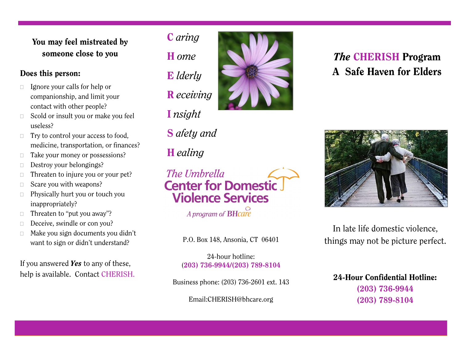## **You may feel mistreated by someone close to you**

- $\Box$  Ignore your calls for help or companionship, and limit your contact with other people?
- $\Box$  Scold or insult you or make you feel useless?
- $\Box$  Try to control your access to food, medicine, transportation, or finances?
- $\Box$  Take your money or possessions?
- Destroy your belongings?
- $\Box$  Threaten to injure you or your pet?
- $\Box$  Scare you with weapons?
- $\Box$  Physically hurt you or touch you inappropriately?
- $\Box$  Threaten to "put you away"?
- Deceive, swindle or con you?
- $\Box$  Make you sign documents you didn't want to sign or didn't understand?

If you answered *Yes* to any of these, help is available. Contact CHERISH.



**S** *afety and*

The Umbrella

**H** *ealing*

# *The* **CHERISH Program Does this person: A** Safe Haven for Elders



In late life domestic violence, P.O. Box 148, Ansonia, CT 06401 things may not be picture perfect.

24-hour hotline: (**203) 736-9944/(203) 789-8104**

**Center for Domestic** 

**Violence Services** 

A program of **BHcare** 

Business phone: (203) 736-2601 ext. 143

Email:CHERISH@bhcare.org

**24-Hour Confidential Hotline: (203) 736-9944 (203) 789-8104**